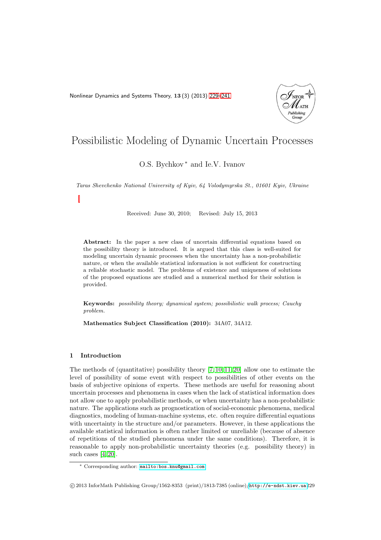<span id="page-0-0"></span>Nonlinear Dynamics and Systems Theory, 13 (3) (2013) [229–](#page-0-0)[241](#page-11-0)



# Possibilistic Modeling of Dynamic Uncertain Processes

## O.S. Bychkov<sup>\*</sup> and Ie.V. Ivanov

Taras Shevchenko National University of Kyiv, 64 Volodymyrska St., 01601 Kyiv, Ukraine

Received: June 30, 2010; Revised: July 15, 2013

Abstract: In the paper a new class of uncertain differential equations based on the possibility theory is introduced. It is argued that this class is well-suited for modeling uncertain dynamic processes when the uncertainty has a non-probabilistic nature, or when the available statistical information is not sufficient for constructing a reliable stochastic model. The problems of existence and uniqueness of solutions of the proposed equations are studied and a numerical method for their solution is provided.

Keywords: possibility theory; dynamical system; possibilistic walk process; Cauchy problem.

Mathematics Subject Classification (2010): 34A07, 34A12.

#### 1 Introduction

The methods of (quantitative) possibility theory  $[7, 10, 11, 20]$  $[7, 10, 11, 20]$  $[7, 10, 11, 20]$  $[7, 10, 11, 20]$  allow one to estimate the level of possibility of some event with respect to possibilities of other events on the basis of subjective opinions of experts. These methods are useful for reasoning about uncertain processes and phenomena in cases when the lack of statistical information does not allow one to apply probabilistic methods, or when uncertainty has a non-probabilistic nature. The applications such as prognostication of social-economic phenomena, medical diagnostics, modeling of human-machine systems, etc. often require differential equations with uncertainty in the structure and/or parameters. However, in these applications the available statistical information is often rather limited or unreliable (because of absence of repetitions of the studied phenomena under the same conditions). Therefore, it is reasonable to apply non-probabilistic uncertainty theories (e.g. possibility theory) in such cases  $[4, 20]$  $[4, 20]$ .

<sup>∗</sup> Corresponding author: [mailto:bos.knu@gmail.com](mailto: bos.knu@gmail.com)

c 2013 InforMath Publishing Group/1562-8353 (print)/1813-7385 (online)/<http://e-ndst.kiev.ua>229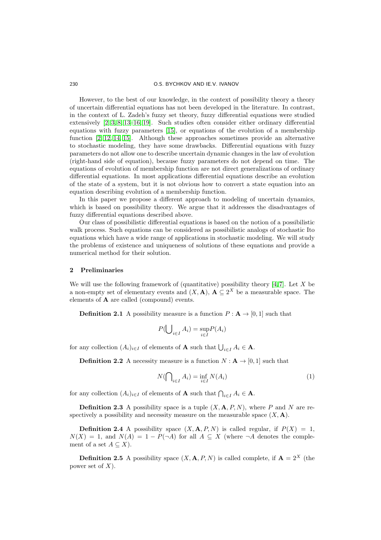#### 230 O.S. BYCHKOV AND IE.V. IVANOV

However, to the best of our knowledge, in the context of possibility theory a theory of uncertain differential equations has not been developed in the literature. In contrast, in the context of L. Zadeh's fuzzy set theory, fuzzy differential equations were studied extensively [\[2,](#page-11-5) [3,](#page-11-6) [8,](#page-11-7) [13](#page-11-8)[–16,](#page-12-1) [19\]](#page-12-2). Such studies often consider either ordinary differential equations with fuzzy parameters [\[15\]](#page-12-3), or equations of the evolution of a membership function [\[2,](#page-11-5) [12,](#page-11-9) [14,](#page-11-10) [15\]](#page-12-3). Although these approaches sometimes provide an alternative to stochastic modeling, they have some drawbacks. Differential equations with fuzzy parameters do not allow one to describe uncertain dynamic changes in the law of evolution (right-hand side of equation), because fuzzy parameters do not depend on time. The equations of evolution of membership function are not direct generalizations of ordinary differential equations. In most applications differential equations describe an evolution of the state of a system, but it is not obvious how to convert a state equation into an equation describing evolution of a membership function.

In this paper we propose a different approach to modeling of uncertain dynamics, which is based on possibility theory. We argue that it addresses the disadvantages of fuzzy differential equations described above.

Our class of possibilistic differential equations is based on the notion of a possibilistic walk process. Such equations can be considered as possibilistic analogs of stochastic Ito equations which have a wide range of applications in stochastic modeling. We will study the problems of existence and uniqueness of solutions of these equations and provide a numerical method for their solution.

### 2 Preliminaries

We will use the following framework of (quantitative) possibility theory  $[4, 7]$  $[4, 7]$ . Let X be a non-empty set of elementary events and  $(X, A)$ ,  $A \subseteq 2^X$  be a measurable space. The elements of A are called (compound) events.

**Definition 2.1** A possibility measure is a function  $P : \mathbf{A} \to [0, 1]$  such that

$$
P(\bigcup_{i \in I} A_i) = \sup_{i \in I} P(A_i)
$$

for any collection  $(A_i)_{i \in I}$  of elements of **A** such that  $\bigcup_{i \in I} A_i \in \mathbf{A}$ .

**Definition 2.2** A necessity measure is a function  $N : A \rightarrow [0, 1]$  such that

$$
N(\bigcap_{i \in I} A_i) = \inf_{i \in I} N(A_i)
$$
\n(1)

for any collection  $(A_i)_{i \in I}$  of elements of **A** such that  $\bigcap_{i \in I} A_i \in \mathbf{A}$ .

**Definition 2.3** A possibility space is a tuple  $(X, \mathbf{A}, P, N)$ , where P and N are respectively a possibility and necessity measure on the measurable space  $(X, \mathbf{A})$ .

**Definition 2.4** A possibility space  $(X, \mathbf{A}, P, N)$  is called regular, if  $P(X) = 1$ ,  $N(X) = 1$ , and  $N(A) = 1 - P(\neg A)$  for all  $A \subseteq X$  (where  $\neg A$  denotes the complement of a set  $A \subseteq X$ ).

**Definition 2.5** A possibility space  $(X, \mathbf{A}, P, N)$  is called complete, if  $\mathbf{A} = 2^X$  (the power set of  $X$ ).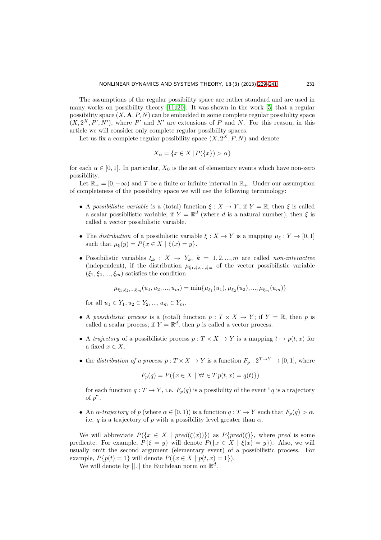The assumptions of the regular possibility space are rather standard and are used in many works on possibility theory  $[11, 20]$  $[11, 20]$ . It was shown in the work  $[5]$  that a regular possibility space  $(X, \mathbf{A}, P, N)$  can be embedded in some complete regular possibility space  $(X, 2^X, P', N')$ , where P' and N' are extensions of P and N. For this reason, in this article we will consider only complete regular possibility spaces.

Let us fix a complete regular possibility space  $(X, 2^X, P, N)$  and denote

$$
X_{\alpha} = \{ x \in X \mid P(\{x\}) > \alpha \}
$$

for each  $\alpha \in [0, 1]$ . In particular,  $X_0$  is the set of elementary events which have non-zero possibility.

Let  $\mathbb{R}_+ = [0, +\infty)$  and T be a finite or infinite interval in  $\mathbb{R}_+$ . Under our assumption of completeness of the possibility space we will use the following terminology:

- A possibilistic variable is a (total) function  $\xi: X \to Y$ ; if  $Y = \mathbb{R}$ , then  $\xi$  is called a scalar possibilistic variable; if  $Y = \mathbb{R}^d$  (where d is a natural number), then  $\xi$  is called a vector possibilistic variable.
- The *distribution* of a possibilistic variable  $\xi : X \to Y$  is a mapping  $\mu_{\xi} : Y \to [0, 1]$ such that  $\mu_{\xi}(y) = P\{x \in X \mid \xi(x) = y\}.$
- Possibilistic variables  $\xi_k : X \to Y_k$ ,  $k = 1, 2, ..., m$  are called non-interactive (independent), if the distribution  $\mu_{\xi_1,\xi_2,\dots,\xi_m}$  of the vector possibilistic variable  $(\xi_1, \xi_2, ..., \xi_m)$  satisfies the condition

$$
\mu_{\xi_1,\xi_2,\dots,\xi_m}(u_1,u_2,...,u_m) = \min\{\mu_{\xi_1}(u_1),\mu_{\xi_2}(u_2),...,\mu_{\xi_m}(u_m)\}\
$$

for all  $u_1 \in Y_1, u_2 \in Y_2, ..., u_m \in Y_m$ .

- A possibilistic process is a (total) function  $p: T \times X \to Y$ ; if  $Y = \mathbb{R}$ , then p is called a scalar process; if  $Y = \mathbb{R}^d$ , then p is called a vector process.
- A trajectory of a possibilistic process  $p: T \times X \to Y$  is a mapping  $t \mapsto p(t, x)$  for a fixed  $x \in X$ .
- the distribution of a process  $p: T \times X \to Y$  is a function  $F_p: 2^{T \to Y} \to [0, 1]$ , where

$$
F_p(q) = P(\{x \in X \mid \forall t \in T \, p(t, x) = q(t)\})
$$

for each function  $q: T \to Y$ , i.e.  $F_p(q)$  is a possibility of the event "q is a trajectory of  $p$ ".

• An  $\alpha$ -trajectory of p (where  $\alpha \in [0,1)$ ) is a function  $q: T \to Y$  such that  $F_p(q) > \alpha$ , i.e. q is a trajectory of p with a possibility level greater than  $\alpha$ .

We will abbreviate  $P({x \in X \mid pred(\xi(x))})$  as  $P{pred(\xi)}$ , where pred is some predicate. For example,  $P\{\xi = y\}$  will denote  $P(\{x \in X \mid \xi(x) = y\})$ . Also, we will usually omit the second argument (elementary event) of a possibilistic process. For example,  $P\{p(t) = 1\}$  will denote  $P(\{x \in X \mid p(t,x) = 1\}).$ 

We will denote by  $||.||$  the Euclidean norm on  $\mathbb{R}^d$ .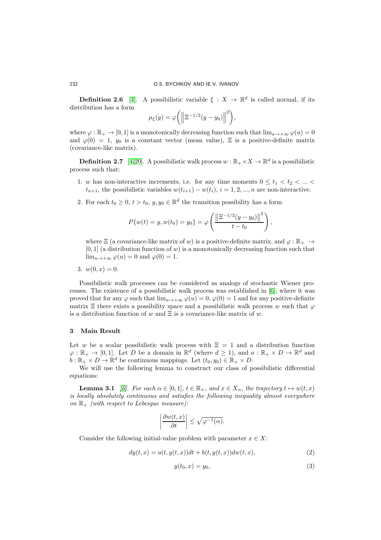**Definition 2.6** [\[4\]](#page-11-4). A possibilistic variable  $\xi : X \to \mathbb{R}^d$  is called normal, if its distribution has a form

$$
\mu_{\xi}(y) = \varphi\bigg(\bigg\|\Xi^{-1/2}(y-y_0)\bigg\|^2\bigg),\,
$$

where  $\varphi : \mathbb{R}_+ \to [0, 1]$  is a monotonically decreasing function such that  $\lim_{u \to +\infty} \varphi(u) = 0$ and  $\varphi(0) = 1$ ,  $y_0$  is a constant vector (mean value),  $\Xi$  is a positive-definite matrix (covariance-like matrix).

**Definition 2.7** [\[4,](#page-11-4)[20\]](#page-12-0). A possibilistic walk process  $w : \mathbb{R}_+ \times X \to \mathbb{R}^d$  is a possibilistic process such that:

- 1. w has non-interactive increments, i.e. for any time moments  $0 \le t_1 \le t_2 \le ... \le$  $t_{n+1}$ , the possibilistic variables  $w(t_{i+1}) - w(t_i)$ ,  $i = 1, 2, ..., n$  are non-interactive.
- 2. For each  $t_0 \geq 0$ ,  $t > t_0$ ,  $y, y_0 \in \mathbb{R}^d$  the transition possibility has a form

$$
P\{w(t) = y, w(t_0) = y_0\} = \varphi\left(\frac{\left\|\Xi^{-1/2}(y - y_0)\right\|^2}{t - t_0}\right),\,
$$

where  $\Xi$  (a covariance-like matrix of w) is a positive-definite matrix, and  $\varphi : \mathbb{R}_+ \to$  $[0, 1]$  (a distribution function of w) is a monotonically decreasing function such that  $\lim_{u\to+\infty}\varphi(u)=0$  and  $\varphi(0)=1$ .

3.  $w(0, x) = 0$ .

Possibilistic walk processes can be considered as analogs of stochastic Wiener processes. The existence of a possibilistic walk process was established in [\[6\]](#page-11-12), where it was proved that for any  $\varphi$  such that  $\lim_{u\to+\infty} \varphi(u) = 0$ ,  $\varphi(0) = 1$  and for any positive-definite matrix  $\Xi$  there exists a possibility space and a possibilistic walk process w such that  $\varphi$ is a distribution function of w and  $\Xi$  is a covariance-like matrix of w.

#### 3 Main Result

Let w be a scalar possibilistic walk process with  $\Xi = 1$  and a distribution function  $\varphi : \mathbb{R}_+ \to [0,1]$ . Let D be a domain in  $\mathbb{R}^d$  (where  $d \geq 1$ ), and  $a : \mathbb{R}_+ \times D \to \mathbb{R}^d$  and  $b : \mathbb{R}_+ \times D \to \mathbb{R}^d$  be continuous mappings. Let  $(t_0, y_0) \in \mathbb{R}_+ \times D$ .

<span id="page-3-2"></span>We will use the following lemma to construct our class of possibilistic differential equations:

**Lemma 3.1** [\[6\]](#page-11-12). For each  $\alpha \in [0,1]$ ,  $t \in \mathbb{R}_+$ , and  $x \in X_\alpha$ , the trajectory  $t \mapsto w(t, x)$ is locally absolutely continuous and satisfies the following inequality almost everywhere on  $\mathbb{R}_+$  (with respect to Lebesgue measure):

$$
\left|\frac{\partial w(t,x)}{\partial t}\right| \le \sqrt{\varphi^{-1}(\alpha)}.
$$

Consider the following initial-value problem with parameter  $x \in X$ :

<span id="page-3-0"></span>
$$
dy(t,x) = a(t, y(t,x))dt + b(t, y(t,x))dw(t,x),
$$
\n<sup>(2)</sup>

<span id="page-3-1"></span>
$$
y(t_0, x) = y_0,\tag{3}
$$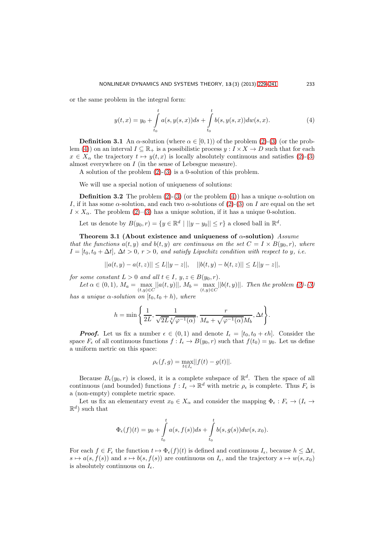or the same problem in the integral form:

<span id="page-4-0"></span>
$$
y(t,x) = y_0 + \int_{t_0}^t a(s, y(s,x))ds + \int_{t_0}^t b(s, y(s,x))dw(s,x).
$$
 (4)

<span id="page-4-3"></span>**Definition 3.1** An  $\alpha$ -solution (where  $\alpha \in [0, 1)$ ) of the problem [\(2\)](#page-3-0)-[\(3\)](#page-3-1) (or the prob-lem [\(4\)](#page-4-0)) on an interval  $I \subseteq \mathbb{R}_+$  is a possibilistic process  $y : I \times X \to D$  such that for each  $x \in X_\alpha$  the trajectory  $t \mapsto y(t, x)$  is locally absolutely continuous and satisfies [\(2\)](#page-3-0)-[\(3\)](#page-3-1) almost everywhere on  $I$  (in the sense of Lebesgue measure).

A solution of the problem [\(2\)](#page-3-0)-[\(3\)](#page-3-1) is a 0-solution of this problem.

We will use a special notion of uniqueness of solutions:

**Definition 3.2** The problem [\(2\)](#page-3-0)-[\(3\)](#page-3-1) (or the problem [\(4\)](#page-4-0)) has a unique  $\alpha$ -solution on I, if it has some  $\alpha$ -solution, and each two  $\alpha$ -solutions of  $(2)-(3)$  $(2)-(3)$  on I are equal on the set  $I \times X_{\alpha}$ . The problem [\(2\)](#page-3-0)–[\(3\)](#page-3-1) has a unique solution, if it has a unique 0-solution.

<span id="page-4-2"></span>Let us denote by  $B(y_0, r) = \{y \in \mathbb{R}^d \mid ||y - y_0|| \le r\}$  a closed ball in  $\mathbb{R}^d$ .

Theorem 3.1 (About existence and uniqueness of  $\alpha$ -solution) Assume that the functions  $a(t, y)$  and  $b(t, y)$  are continuous on the set  $C = I \times B(y_0, r)$ , where  $I = [t_0, t_0 + \Delta t], \Delta t > 0, r > 0,$  and satisfy Lipschitz condition with respect to y, i.e.

 $||a(t, y) - a(t, z)|| \le L||y - z||$ ,  $||b(t, y) - b(t, z)|| \le L||y - z||$ ,

for some constant  $L > 0$  and all  $t \in I$ ,  $y, z \in B(y_0, r)$ .

Let  $\alpha \in (0, 1)$ ,  $M_a = \max_{(t, y) \in C} ||a(t, y)||$ ,  $M_b = \max_{(t, y) \in C} ||b(t, y)||$ . Then the problem [\(2\)](#page-3-0)-[\(3\)](#page-3-1) has a unique  $\alpha$ -solution on  $[t_0, t_0 + h)$ , where

$$
h = \min\Bigg\{\frac{1}{2L}, \frac{1}{\sqrt{2L}\sqrt[4]{\varphi^{-1}(\alpha)}}, \frac{r}{M_a + \sqrt{\varphi^{-1}(\alpha)}M_b}, \Delta t\Bigg\}.
$$

**Proof.** Let us fix a number  $\epsilon \in (0,1)$  and denote  $I_{\epsilon} = [t_0, t_0 + \epsilon h]$ . Consider the space  $F_{\epsilon}$  of all continuous functions  $f: I_{\epsilon} \to B(y_0, r)$  such that  $f(t_0) = y_0$ . Let us define a uniform metric on this space:

$$
\rho_{\epsilon}(f,g) = \max_{t \in I_{\epsilon}} ||f(t) - g(t)||.
$$

Because  $B_{\epsilon}(y_0,r)$  is closed, it is a complete subspace of  $\mathbb{R}^d$ . Then the space of all continuous (and bounded) functions  $f: I_{\epsilon} \to \mathbb{R}^d$  with metric  $\rho_{\epsilon}$  is complete. Thus  $F_{\epsilon}$  is a (non-empty) complete metric space.

Let us fix an elementary event  $x_0 \in X_\alpha$  and consider the mapping  $\Phi_\epsilon : F_\epsilon \to (I_\epsilon \to I_\epsilon)$  $\mathbb{R}^d$ ) such that

$$
\Phi_{\epsilon}(f)(t) = y_0 + \int_{t_0}^t a(s, f(s))ds + \int_{t_0}^t b(s, g(s))dw(s, x_0).
$$

For each  $f \in F_{\epsilon}$  the function  $t \mapsto \Phi_{\epsilon}(f)(t)$  is defined and continuous  $I_{\epsilon}$ , because  $h \leq \Delta t$ ,  $s \mapsto a(s, f(s))$  and  $s \mapsto b(s, f(s))$  are continuous on  $I_{\epsilon}$ , and the trajectory  $s \mapsto w(s, x_0)$ is absolutely continuous on  $I_{\epsilon}$ .

<span id="page-4-1"></span>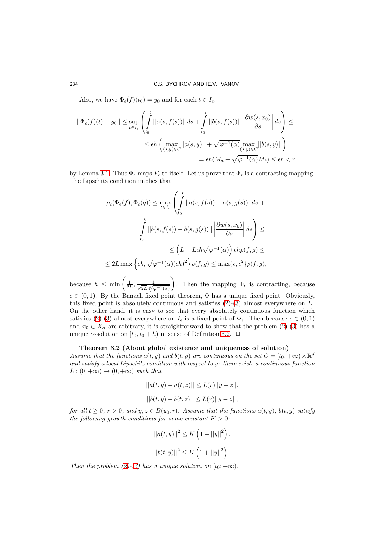Also, we have  $\Phi_{\epsilon}(f)(t_0) = y_0$  and for each  $t \in I_{\epsilon}$ ,

$$
||\Phi_{\epsilon}(f)(t) - y_0|| \le \sup_{t \in I_{\epsilon}} \left( \int_{t_0}^t ||a(s, f(s))|| ds + \int_{t_0}^t ||b(s, f(s))|| \left| \frac{\partial w(s, x_0)}{\partial s} \right| ds \right) \le
$$
  

$$
\le \epsilon h \left( \max_{(s, y) \in C} ||a(s, y)|| + \sqrt{\varphi^{-1}(\alpha)} \max_{(s, y) \in C} ||b(s, y)|| \right) =
$$
  

$$
= \epsilon h (M_a + \sqrt{\varphi^{-1}(\alpha)} M_b) \le \epsilon r < r
$$

by Lemma [3.1.](#page-3-2) Thus  $\Phi_{\epsilon}$  maps  $F_{\epsilon}$  to itself. Let us prove that  $\Phi_{\epsilon}$  is a contracting mapping. The Lipschitz condition implies that

$$
\rho_{\epsilon}(\Phi_{\epsilon}(f), \Phi_{\epsilon}(g)) \le \max_{t \in I_{\epsilon}} \left( \int_{t_0}^t ||a(s, f(s)) - a(s, g(s))||ds + \int_{t_0}^t ||b(s, f(s)) - b(s, g(s))|| \left| \frac{\partial w(s, x_0)}{\partial s} \right| ds \right) \le
$$
  

$$
\le \left( L + L\epsilon h \sqrt{\varphi^{-1}(\alpha)} \right) \epsilon h \rho(f, g) \le
$$
  

$$
\le 2L \max \left\{ \epsilon h, \sqrt{\varphi^{-1}(\alpha)} (\epsilon h)^2 \right\} \rho(f, g) \le \max \{ \epsilon, \epsilon^2 \} \rho(f, g),
$$

because  $h \leq \min\left(\frac{1}{2L}, \frac{1}{\sqrt{2L}\sqrt[4]{\varphi^{-1}(\alpha)}}\right)$ ). Then the mapping  $\Phi_{\epsilon}$  is contracting, because  $\epsilon \in (0, 1)$ . By the Banach fixed point theorem,  $\Phi$  has a unique fixed point. Obviously, this fixed point is absolutely continuous and satisfies [\(2\)](#page-3-0)-[\(3\)](#page-3-1) almost everywhere on  $I_{\epsilon}$ . On the other hand, it is easy to see that every absolutely continuous function which satisfies [\(2\)](#page-3-0)-[\(3\)](#page-3-1) almost everywhere on  $I_{\epsilon}$  is a fixed point of  $\Phi_{\epsilon}$ . Then because  $\epsilon \in (0,1)$ and  $x_0 \in X_\alpha$  are arbitrary, it is straightforward to show that the problem [\(2\)](#page-3-0)-[\(3\)](#page-3-1) has a unique  $\alpha$ -solution on  $[t_0, t_0 + h)$  in sense of Definition [3.2.](#page-4-1)  $\Box$ 

#### Theorem 3.2 (About global existence and uniqueness of solution)

Assume that the functions  $a(t, y)$  and  $b(t, y)$  are continuous on the set  $C = [t_0, +\infty) \times \mathbb{R}^d$ and satisfy a local Lipschitz condition with respect to y: there exists a continuous function  $L:(0,+\infty) \to (0,+\infty)$  such that

$$
||a(t, y) - a(t, z)|| \le L(r)||y - z||,
$$
  

$$
||b(t, y) - b(t, z)|| \le L(r)||y - z||,
$$

for all  $t \geq 0$ ,  $r > 0$ , and  $y, z \in B(y_0, r)$ . Assume that the functions  $a(t, y)$ ,  $b(t, y)$  satisfy the following growth conditions for some constant  $K > 0$ :

$$
||a(t, y)||^{2} \leq K\left(1 + ||y||^{2}\right),
$$
  

$$
||b(t, y)||^{2} \leq K\left(1 + ||y||^{2}\right).
$$

Then the problem [\(2\)](#page-3-0)-[\(3\)](#page-3-1) has a unique solution on  $[t_0; +\infty)$ .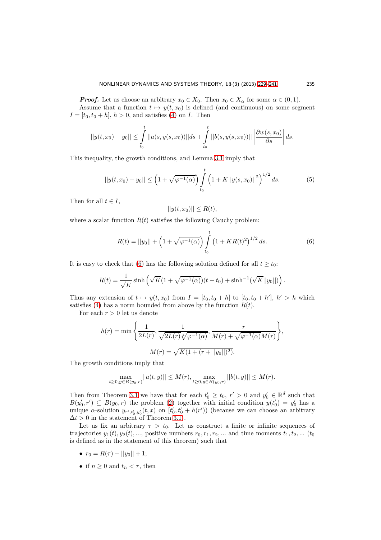**Proof.** Let us choose an arbitrary  $x_0 \in X_0$ . Then  $x_0 \in X_\alpha$  for some  $\alpha \in (0,1)$ . Assume that a function  $t \mapsto y(t, x_0)$  is defined (and continuous) on some segment  $I = [t_0, t_0 + h], h > 0$ , and satisfies [\(4\)](#page-4-0) on *I*. Then

$$
||y(t, x_0) - y_0|| \leq \int_{t_0}^t ||a(s, y(s, x_0))|| ds + \int_{t_0}^t ||b(s, y(s, x_0))|| \left| \frac{\partial w(s, x_0)}{\partial s} \right| ds.
$$

This inequality, the growth conditions, and Lemma [3.1](#page-3-2) imply that

<span id="page-6-1"></span>
$$
||y(t, x_0) - y_0|| \le \left(1 + \sqrt{\varphi^{-1}(\alpha)}\right) \int_{t_0}^t \left(1 + K||y(s, x_0)||^2\right)^{1/2} ds.
$$
 (5)

Then for all  $t \in I$ ,

$$
||y(t, x_0)|| \le R(t),
$$

where a scalar function  $R(t)$  satisfies the following Cauchy problem:

<span id="page-6-0"></span>
$$
R(t) = ||y_0|| + \left(1 + \sqrt{\varphi^{-1}(\alpha)}\right) \int_{t_0}^t \left(1 + KR(t)^2\right)^{1/2} ds.
$$
 (6)

It is easy to check that [\(6\)](#page-6-0) has the following solution defined for all  $t \geq t_0$ :

$$
R(t) = \frac{1}{\sqrt{K}} \sinh\left(\sqrt{K}(1 + \sqrt{\varphi^{-1}(\alpha)})(t - t_0) + \sinh^{-1}(\sqrt{K}||y_0||)\right)
$$

Thus any extension of  $t \mapsto y(t, x_0)$  from  $I = [t_0, t_0 + h]$  to  $[t_0, t_0 + h']$ ,  $h' > h$  which satisfies [\(4\)](#page-4-0) has a norm bounded from above by the function  $R(t)$ .

For each  $r > 0$  let us denote

$$
h(r) = \min\left\{\frac{1}{2L(r)}, \frac{1}{\sqrt{2L(r)}\sqrt[4]{\varphi^{-1}(\alpha)}}, \frac{r}{M(r) + \sqrt{\varphi^{-1}(\alpha)}M(r)}\right\},\,
$$

$$
M(r) = \sqrt{K(1 + (r + ||y_0||)^2)}.
$$

The growth conditions imply that

$$
\max_{t\geq 0, y\in B(y_0,r)} ||a(t,y)|| \leq M(r), \max_{t\geq 0, y\in B(y_0,r)} ||b(t,y)|| \leq M(r).
$$

Then from Theorem [3.1](#page-4-2) we have that for each  $t'_0 \ge t_0$ ,  $r' > 0$  and  $y'_0 \in \mathbb{R}^d$  such that  $B(y'_0, r') \subseteq B(y_0, r)$  the problem [\(2\)](#page-3-0) together with initial condition  $y(t'_0) = y'_0$  has a unique  $\alpha$ -solution  $y_{r',t'_0,y'_0}(t,x)$  on  $[t'_0,t'_0+h(r'))$  (because we can choose an arbitrary  $\Delta t > 0$  in the statement of Theorem [3.1\)](#page-4-2).

Let us fix an arbitrary  $\tau > t_0$ . Let us construct a finite or infinite sequences of trajectories  $y_1(t), y_2(t), \ldots$ , positive numbers  $r_0, r_1, r_2, \ldots$  and time moments  $t_1, t_2, \ldots$  ( $t_0$ ) is defined as in the statement of this theorem) such that

- $r_0 = R(\tau) ||y_0|| + 1;$
- if  $n \geq 0$  and  $t_n < \tau$ , then

.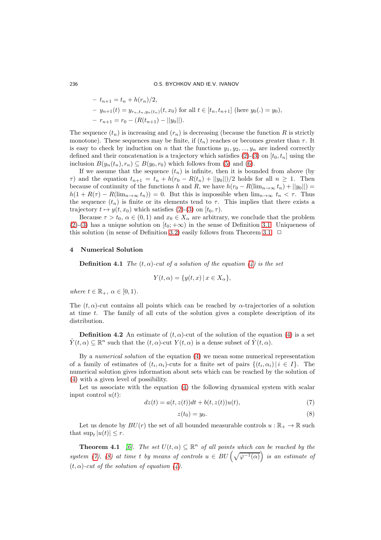#### 236 O.S. BYCHKOV AND IE.V. IVANOV

- $-t_{n+1} = t_n + h(r_n)/2,$
- $y_{n+1}(t) = y_{r_n,t_n,y_n(t_n)}(t,x_0)$  for all  $t \in [t_n,t_{n+1}]$  (here  $y_0(.) = y_0$ ),
- $-r_{n+1} = r_0 (R(t_{n+1}) ||y_0||).$

The sequence  $(t_n)$  is increasing and  $(r_n)$  is decreasing (because the function R is strictly monotone). These sequences may be finite, if  $(t_n)$  reaches or becomes greater than  $\tau$ . It is easy to check by induction on n that the functions  $y_1, y_2, ..., y_n$  are indeed correctly defined and their concatenation is a trajectory which satisfies [\(2\)](#page-3-0)-[\(3\)](#page-3-1) on  $[t_0, t_n]$  using the inclusion  $B(y_n(t_n), r_n) \subseteq B(y_0, r_0)$  which follows from [\(5\)](#page-6-1) and [\(6\)](#page-6-0).

If we assume that the sequence  $(t_n)$  is infinite, then it is bounded from above (by  $\tau$ ) and the equation  $t_{n+1} = t_n + h(r_0 - R(t_n) + ||y_0||)/2$  holds for all  $n \geq 1$ . Then because of continuity of the functions h and R, we have  $h(r_0 - R(\lim_{n\to\infty} t_n) + ||y_0||) =$  $h(1 + R(\tau) - R(\lim_{n \to \infty} t_n)) = 0$ . But this is impossible when  $\lim_{n \to \infty} t_n < \tau$ . Thus the sequence  $(t_n)$  is finite or its elements tend to  $\tau$ . This implies that there exists a trajectory  $t \mapsto y(t, x_0)$  which satisfies [\(2\)](#page-3-0)-[\(3\)](#page-3-1) on  $[t_0, \tau)$ .

Because  $\tau > t_0$ ,  $\alpha \in (0, 1)$  and  $x_0 \in X_\alpha$  are arbitrary, we conclude that the problem [\(2\)](#page-3-0)-[\(3\)](#page-3-1) has a unique solution on  $[t_0; +\infty)$  in the sense of Definition [3.1.](#page-4-3) Uniqueness of this solution (in sense of Definition [3.2\)](#page-4-1) easily follows from Theorem [3.1.](#page-4-2)  $\Box$ 

#### 4 Numerical Solution

**Definition 4.1** The  $(t, \alpha)$ -cut of a solution of the equation [\(4\)](#page-4-0) is the set

$$
Y(t, \alpha) = \{ y(t, x) \, | \, x \in X_{\alpha} \},
$$

where  $t \in \mathbb{R}_+$ ,  $\alpha \in [0, 1)$ .

The  $(t, \alpha)$ -cut contains all points which can be reached by  $\alpha$ -trajectories of a solution at time t. The family of all cuts of the solution gives a complete description of its distribution.

**Definition 4.2** An estimate of  $(t, \alpha)$ -cut of the solution of the equation [\(4\)](#page-4-0) is a set  $\hat{Y}(t,\alpha) \subseteq \mathbb{R}^n$  such that the  $(t,\alpha)$ -cut  $Y(t,\alpha)$  is a dense subset of  $\hat{Y}(t,\alpha)$ .

By a numerical solution of the equation [\(4\)](#page-4-0) we mean some numerical representation of a family of estimates of  $(t_i, \alpha_i)$ -cuts for a finite set of pairs  $\{(t_i, \alpha_i) | i \in I\}$ . The numerical solution gives information about sets which can be reached by the solution of [\(4\)](#page-4-0) with a given level of possibility.

Let us associate with the equation [\(4\)](#page-4-0) the following dynamical system with scalar input control  $u(t)$ :

<span id="page-7-0"></span>
$$
dz(t) = a(t, z(t))dt + b(t, z(t))u(t),
$$
\n
$$
(7)
$$

<span id="page-7-1"></span>
$$
z(t_0) = y_0. \tag{8}
$$

Let us denote by  $BU(r)$  the set of all bounded measurable controls  $u : \mathbb{R}_+ \to \mathbb{R}$  such that  $\sup_t |u(t)| \leq r$ .

**Theorem 4.1** [\[6\]](#page-11-12). The set  $U(t, \alpha) \subseteq \mathbb{R}^n$  of all points which can be reached by the system [\(7\)](#page-7-0), [\(8\)](#page-7-1) at time t by means of controls  $u \in BU\left(\sqrt{\varphi^{-1}(\alpha)}\right)$  is an estimate of  $(t, \alpha)$ -cut of the solution of equation  $(4)$ .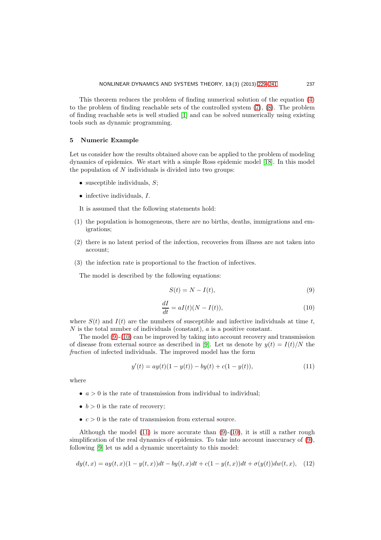This theorem reduces the problem of finding numerical solution of the equation [\(4\)](#page-4-0) to the problem of finding reachable sets of the controlled system [\(7\)](#page-7-0), [\(8\)](#page-7-1). The problem of finding reachable sets is well studied [\[1\]](#page-11-13) and can be solved numerically using existing tools such as dynamic programming.

#### 5 Numeric Example

Let us consider how the results obtained above can be applied to the problem of modeling dynamics of epidemics. We start with a simple Ross epidemic model [\[18\]](#page-12-4). In this model the population of  $N$  individuals is divided into two groups:

- susceptible individuals,  $S$ ;
- $\bullet$  infective individuals,  $I$ .
- It is assumed that the following statements hold:
- (1) the population is homogeneous, there are no births, deaths, immigrations and emigrations;
- (2) there is no latent period of the infection, recoveries from illness are not taken into account;
- (3) the infection rate is proportional to the fraction of infectives.

The model is described by the following equations:

<span id="page-8-0"></span>
$$
S(t) = N - I(t),\tag{9}
$$

<span id="page-8-1"></span>
$$
\frac{dI}{dt} = aI(t)(N - I(t)),\tag{10}
$$

where  $S(t)$  and  $I(t)$  are the numbers of susceptible and infective individuals at time t, N is the total number of individuals (constant),  $a$  is a positive constant.

The model [\(9\)](#page-8-0)-[\(10\)](#page-8-1) can be improved by taking into account recovery and transmission of disease from external source as described in [\[9\]](#page-11-14). Let us denote by  $y(t) = I(t)/N$  the fraction of infected individuals. The improved model has the form

<span id="page-8-2"></span>
$$
y'(t) = ay(t)(1 - y(t)) - by(t) + c(1 - y(t)),
$$
\n(11)

where

- $a > 0$  is the rate of transmission from individual to individual;
- $b > 0$  is the rate of recovery;
- $c > 0$  is the rate of transmission from external source.

Although the model  $(11)$  is more accurate than  $(9)-(10)$  $(9)-(10)$ , it is still a rather rough simplification of the real dynamics of epidemics. To take into account inaccuracy of [\(9\)](#page-8-0), following [\[9\]](#page-11-14) let us add a dynamic uncertainty to this model:

$$
dy(t,x) = ay(t,x)(1 - y(t,x))dt - by(t,x)dt + c(1 - y(t,x))dt + \sigma(y(t))dw(t,x), \quad (12)
$$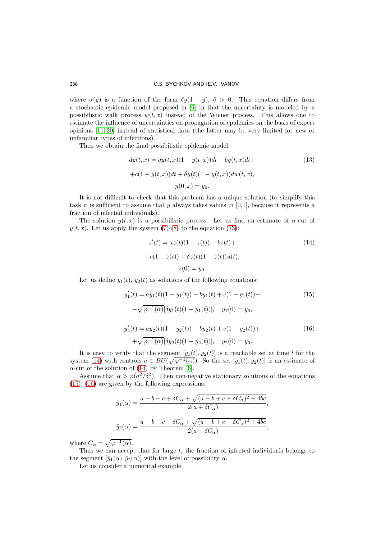where  $\sigma(y)$  is a function of the form  $\delta y(1-y)$ ,  $\delta > 0$ . This equation differs from a stochastic epidemic model proposed in [\[9\]](#page-11-14) in that the uncertainty is modeled by a possibilistic walk process  $w(t, x)$  instead of the Wiener process. This allows one to estimate the influence of uncertainties on propagation of epidemics on the basis of expert opinions [\[11,](#page-11-3) [20\]](#page-12-0) instead of statistical data (the latter may be very limited for new or unfamiliar types of infections).

Then we obtain the final possibilistic epidemic model:

<span id="page-9-0"></span>
$$
dy(t, x) = ay(t, x)(1 - y(t, x))dt - by(t, x)dt +
$$
  
+c(1 - y(t, x))dt + \delta y(t)(1 - y(t, x))dw(t, x),  

$$
y(0, x) = y_0.
$$
 (13)

It is not difficult to check that this problem has a unique solution (to simplify this task it is sufficient to assume that y always takes values in  $[0,1]$ , because it represents a fraction of infected individuals).

The solution  $y(t, x)$  is a possibilistic process. Let us find an estimate of  $\alpha$ -cut of  $y(t, x)$ . Let us apply the system [\(7\)](#page-7-0)-[\(8\)](#page-7-1) to the equation [\(13\)](#page-9-0):

<span id="page-9-1"></span>
$$
z'(t) = az(t)(1 - z(t)) - bz(t) ++c(1 - z(t)) + \delta z(t)(1 - z(t))u(t),z(0) = y_0.
$$
 (14)

Let us define  $y_1(t)$ ,  $y_2(t)$  as solutions of the following equations:

<span id="page-9-3"></span><span id="page-9-2"></span>
$$
y'_1(t) = ay_1(t)(1 - y_1(t)) - by_1(t) + c(1 - y_1(t)) -
$$
\n
$$
-\sqrt{\varphi^{-1}(\alpha)}|\delta y_1(t)(1 - y_1(t))|, \quad y_1(0) = y_0,
$$
\n
$$
y'_2(t) = ay_2(t)(1 - y_2(t)) - by_2(t) + c(1 - y_2(t)) +
$$
\n
$$
+\sqrt{\varphi^{-1}(\alpha)}|\delta y_2(t)(1 - y_2(t))|, \quad y_2(0) = y_0.
$$
\n(16)

It is easy to verify that the segment  $[y_1(t), y_2(t)]$  is a reachable set at time t for the system [\(14\)](#page-9-1) with controls  $u \in BU(\sqrt{\varphi^{-1}(\alpha)})$ . So the set  $[y_1(t), y_2(t)]$  is an estimate of  $\alpha$ -cut of the solution of [\(14\)](#page-9-1) by Theorem [\[6\]](#page-11-12).

Assume that  $\alpha > \varphi(a^2/\delta^2)$ . Then non-negative stationary solutions of the equations [\(15\)](#page-9-2), [\(16\)](#page-9-3) are given by the following expressions:

$$
\hat{y}_1(\alpha) = \frac{a - b - c + \delta C_{\alpha} + \sqrt{(a - b + c + \delta C_{\alpha})^2 + 4bc}}{2(a + \delta C_{\alpha})},
$$

$$
\hat{y}_2(\alpha) = \frac{a - b - c - \delta C_{\alpha} + \sqrt{(a - b + c - \delta C_{\alpha})^2 + 4bc}}{2(a - \delta C_{\alpha})},
$$

where  $C_{\alpha} = \sqrt{\varphi^{-1}(\alpha)}$ .

Thus we can accept that for large  $t$ , the fraction of infected individuals belongs to the segment  $[\hat{y}_1(\alpha), \hat{y}_2(\alpha)]$  with the level of possibility  $\alpha$ .

Let us consider a numerical example.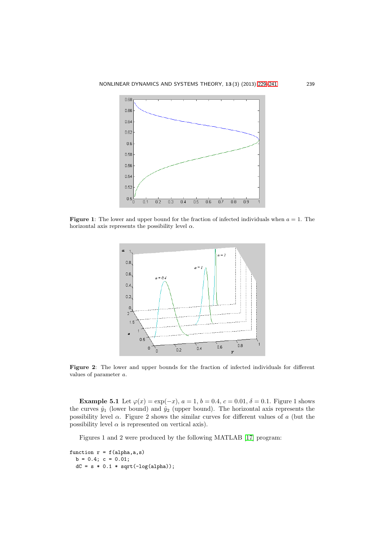

**Figure 1:** The lower and upper bound for the fraction of infected individuals when  $a = 1$ . The horizontal axis represents the possibility level  $\alpha$ .



Figure 2: The lower and upper bounds for the fraction of infected individuals for different values of parameter a.

Example 5.1 Let  $\varphi(x) = \exp(-x)$ ,  $a = 1$ ,  $b = 0.4$ ,  $c = 0.01$ ,  $\delta = 0.1$ . Figure 1 shows the curves  $\hat{y}_1$  (lower bound) and  $\hat{y}_2$  (upper bound). The horizontal axis represents the possibility level  $\alpha$ . Figure 2 shows the similar curves for different values of a (but the possibility level  $\alpha$  is represented on vertical axis).

Figures 1 and 2 were produced by the following MATLAB [\[17\]](#page-12-5) program:

```
function r = f(alpha, a, s)b = 0.4; c = 0.01;
  dC = s * 0.1 * sqrt(-log(alpha));
```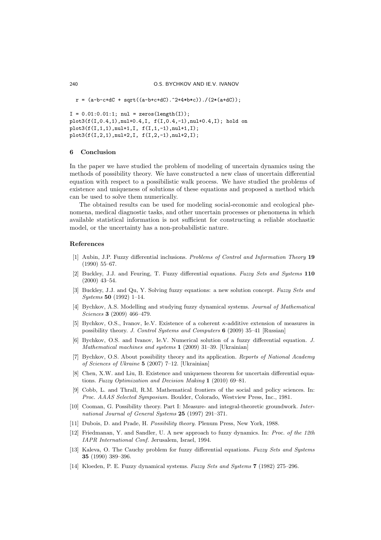```
r = (a-b-c+dC + sqrt((a-b+c+dC).^2+4*b*c))./(2*(a+dC));
I = 0.01:0.01:1; \text{ nul} = \text{zeros}(\text{length}(I));plot3(f(I,0.4,1),nul+0.4,I, f(I,0.4,-1),nul+0.4,I); hold on
plot3(f(I,1,1),null+1,I, f(I,1,-1),null+1,I);plot3(f(I,2,1),nul+2,I, f(I,2,-1),nul+2,I);
```
#### 6 Conclusion

In the paper we have studied the problem of modeling of uncertain dynamics using the methods of possibility theory. We have constructed a new class of uncertain differential equation with respect to a possibilistic walk process. We have studied the problems of existence and uniqueness of solutions of these equations and proposed a method which can be used to solve them numerically.

The obtained results can be used for modeling social-economic and ecological phenomena, medical diagnostic tasks, and other uncertain processes or phenomena in which available statistical information is not sufficient for constructing a reliable stochastic model, or the uncertainty has a non-probabilistic nature.

#### <span id="page-11-13"></span><span id="page-11-0"></span>References

- [1] Aubin, J.P. Fuzzy differential inclusions. Problems of Control and Information Theory 19 (1990) 55–67.
- <span id="page-11-5"></span>[2] Buckley, J.J. and Feuring, T. Fuzzy differential equations. Fuzzy Sets and Systems 110 (2000) 43–54.
- <span id="page-11-6"></span>[3] Buckley, J.J. and Qu, Y. Solving fuzzy equations: a new solution concept. Fuzzy Sets and Systems 50 (1992) 1–14.
- <span id="page-11-4"></span>[4] Bychkov, A.S. Modelling and studying fuzzy dynamical systems. Journal of Mathematical Sciences 3 (2009) 466–479.
- <span id="page-11-11"></span>[5] Bychkov, O.S., Ivanov, Ie.V. Existence of a coherent  $\kappa$ -additive extension of measures in possibility theory. J. Control Systems and Computers 6 (2009) 35–41 [Russian]
- <span id="page-11-12"></span>[6] Bychkov, O.S. and Ivanov, Ie.V. Numerical solution of a fuzzy differential equation. J. Mathematical machines and systems 1 (2009) 31–39. [Ukrainian]
- <span id="page-11-1"></span>[7] Bychkov, O.S. About possibility theory and its application. Reports of National Academy of Sciences of Ukraine 5 (2007) 7–12. [Ukrainian]
- <span id="page-11-7"></span>[8] Chen, X.W. and Liu, B. Existence and uniqueness theorem for uncertain differential equations. Fuzzy Optimization and Decision Making 1 (2010) 69–81.
- <span id="page-11-14"></span>[9] Cobb, L. and Thrall, R.M. Mathematical frontiers of the social and policy sciences. In: Proc. AAAS Selected Symposium. Boulder, Colorado, Westview Press, Inc., 1981.
- <span id="page-11-2"></span>[10] Cooman, G. Possibility theory. Part I: Measure- and integral-theoretic groundwork. International Journal of General Systems 25 (1997) 291-371.
- <span id="page-11-9"></span><span id="page-11-3"></span>[11] Dubois, D. and Prade, H. Possibility theory. Plenum Press, New York, 1988.
- [12] Friedmanan, Y. and Sandler, U. A new approach to fuzzy dynamics. In: Proc. of the 12th IAPR International Conf. Jerusalem, Israel, 1994.
- <span id="page-11-8"></span>[13] Kaleva, O. The Cauchy problem for fuzzy differential equations. Fuzzy Sets and Systems 35 (1990) 389–396.
- <span id="page-11-10"></span>[14] Kloeden, P. E. Fuzzy dynamical systems. Fuzzy Sets and Systems 7 (1982) 275–296.